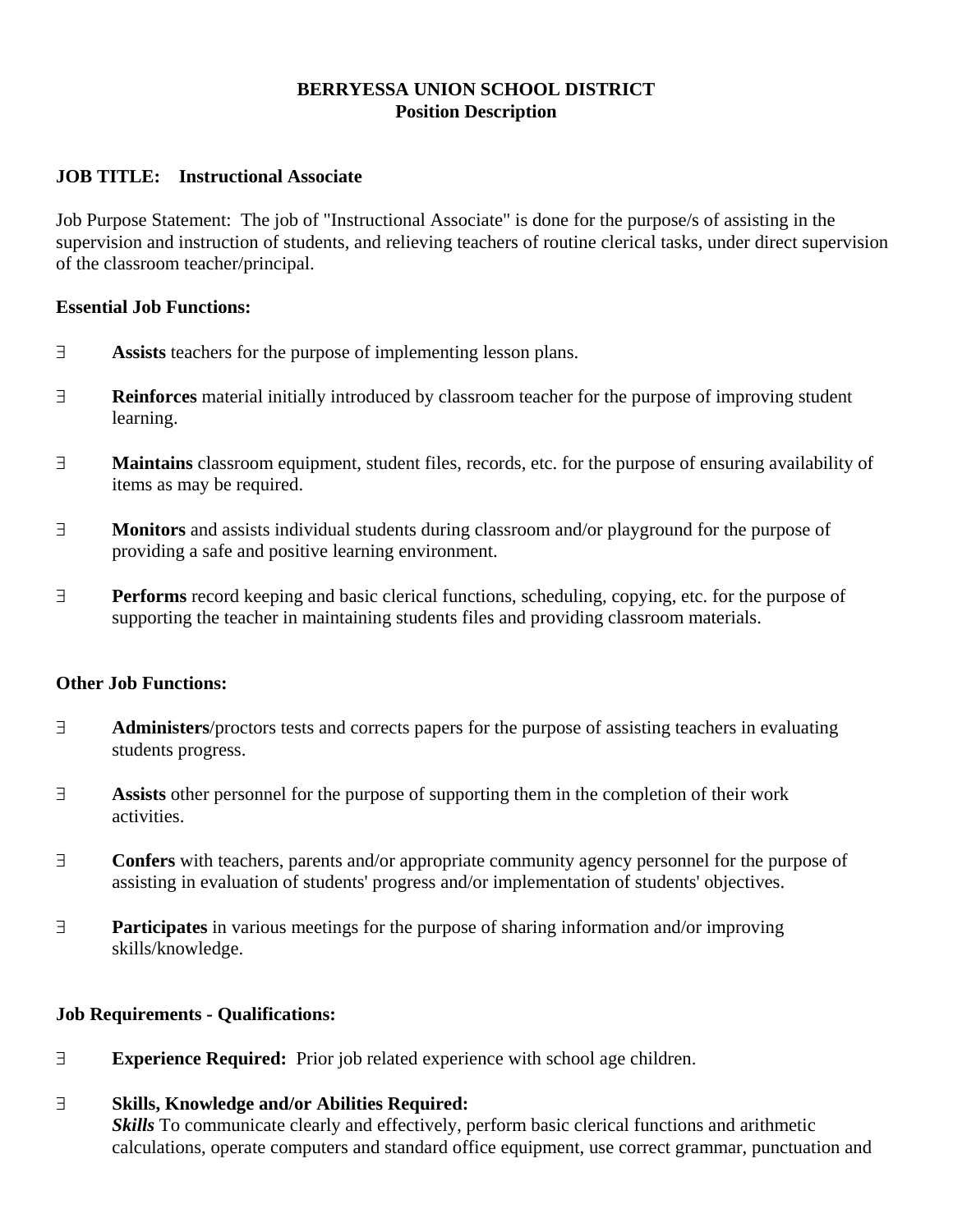## **BERRYESSA UNION SCHOOL DISTRICT Position Description**

### **JOB TITLE: Instructional Associate**

Job Purpose Statement: The job of "Instructional Associate" is done for the purpose/s of assisting in the supervision and instruction of students, and relieving teachers of routine clerical tasks, under direct supervision of the classroom teacher/principal.

#### **Essential Job Functions:**

- **Assists** teachers for the purpose of implementing lesson plans.
- **Reinforces** material initially introduced by classroom teacher for the purpose of improving student learning.
- **Maintains** classroom equipment, student files, records, etc. for the purpose of ensuring availability of items as may be required.
- **Monitors** and assists individual students during classroom and/or playground for the purpose of providing a safe and positive learning environment.
- **Performs** record keeping and basic clerical functions, scheduling, copying, etc. for the purpose of supporting the teacher in maintaining students files and providing classroom materials.

#### **Other Job Functions:**

- **Administers**/proctors tests and corrects papers for the purpose of assisting teachers in evaluating students progress.
- **Assists** other personnel for the purpose of supporting them in the completion of their work activities.
- **Confers** with teachers, parents and/or appropriate community agency personnel for the purpose of assisting in evaluation of students' progress and/or implementation of students' objectives.
- **Participates** in various meetings for the purpose of sharing information and/or improving skills/knowledge.

## **Job Requirements - Qualifications:**

**Experience Required:** Prior job related experience with school age children.

#### **Skills, Knowledge and/or Abilities Required:**

*Skills* To communicate clearly and effectively, perform basic clerical functions and arithmetic calculations, operate computers and standard office equipment, use correct grammar, punctuation and